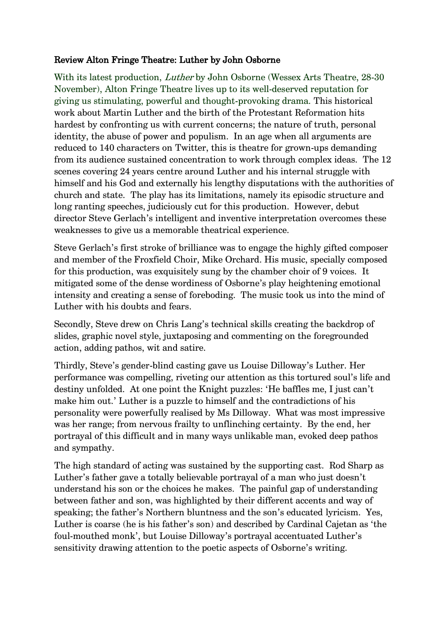## Review Alton Fringe Theatre: Luther by John Osborne

With its latest production, *Luther* by John Osborne (Wessex Arts Theatre, 28-30) November), Alton Fringe Theatre lives up to its well-deserved reputation for giving us stimulating, powerful and thought-provoking drama. This historical work about Martin Luther and the birth of the Protestant Reformation hits hardest by confronting us with current concerns; the nature of truth, personal identity, the abuse of power and populism. In an age when all arguments are reduced to 140 characters on Twitter, this is theatre for grown-ups demanding from its audience sustained concentration to work through complex ideas. The 12 scenes covering 24 years centre around Luther and his internal struggle with himself and his God and externally his lengthy disputations with the authorities of church and state. The play has its limitations, namely its episodic structure and long ranting speeches, judiciously cut for this production. However, debut director Steve Gerlach's intelligent and inventive interpretation overcomes these weaknesses to give us a memorable theatrical experience.

Steve Gerlach's first stroke of brilliance was to engage the highly gifted composer and member of the Froxfield Choir, Mike Orchard. His music, specially composed for this production, was exquisitely sung by the chamber choir of 9 voices. It mitigated some of the dense wordiness of Osborne's play heightening emotional intensity and creating a sense of foreboding. The music took us into the mind of Luther with his doubts and fears.

Secondly, Steve drew on Chris Lang's technical skills creating the backdrop of slides, graphic novel style, juxtaposing and commenting on the foregrounded action, adding pathos, wit and satire.

Thirdly, Steve's gender-blind casting gave us Louise Dilloway's Luther. Her performance was compelling, riveting our attention as this tortured soul's life and destiny unfolded. At one point the Knight puzzles: 'He baffles me, I just can't make him out.' Luther is a puzzle to himself and the contradictions of his personality were powerfully realised by Ms Dilloway. What was most impressive was her range; from nervous frailty to unflinching certainty. By the end, her portrayal of this difficult and in many ways unlikable man, evoked deep pathos and sympathy.

The high standard of acting was sustained by the supporting cast. Rod Sharp as Luther's father gave a totally believable portrayal of a man who just doesn't understand his son or the choices he makes. The painful gap of understanding between father and son, was highlighted by their different accents and way of speaking; the father's Northern bluntness and the son's educated lyricism. Yes, Luther is coarse (he is his father's son) and described by Cardinal Cajetan as 'the foul-mouthed monk', but Louise Dilloway's portrayal accentuated Luther's sensitivity drawing attention to the poetic aspects of Osborne's writing.